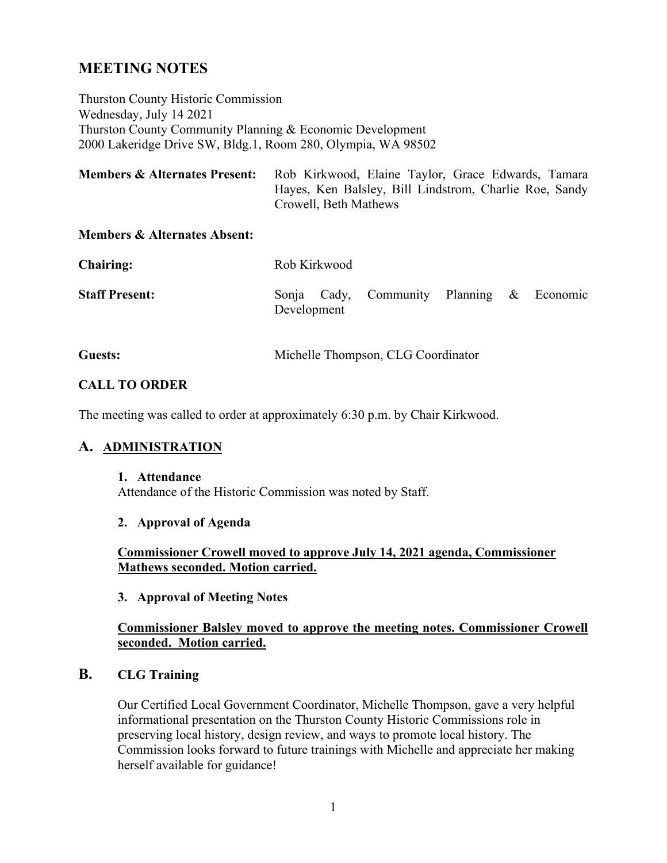# **MEETING NOTES**

Thurston County Historic Commission Wednesday, July 14 2021 Thurston County Community Planning & Economic Development 2000 Lakeridge Drive SW, Bldg.1, Room 280, Olympia, WA 98502

| <b>Members &amp; Alternates Present:</b> | Rob Kirkwood, Elaine Taylor, Grace Edwards, Tamara     |
|------------------------------------------|--------------------------------------------------------|
|                                          | Hayes, Ken Balsley, Bill Lindstrom, Charlie Roe, Sandy |
|                                          | Crowell, Beth Mathews                                  |

#### **Members & Alternates Absent:**

| <b>Chairing:</b>      | Rob Kirkwood |  |                                           |  |  |  |  |
|-----------------------|--------------|--|-------------------------------------------|--|--|--|--|
| <b>Staff Present:</b> | Development  |  | Sonja Cady, Community Planning & Economic |  |  |  |  |
|                       |              |  |                                           |  |  |  |  |

# **Guests:** Michelle Thompson, CLG Coordinator

## **CALL TO ORDER**

The meeting was called to order at approximately 6:30 p.m. by Chair Kirkwood.

#### **A. ADMINISTRATION**

#### **1. Attendance**

Attendance of the Historic Commission was noted by Staff.

#### **2. Approval of Agenda**

**Commissioner Crowell moved to approve July 14, 2021 agenda, Commissioner Mathews seconded. Motion carried.** 

#### **3. Approval of Meeting Notes**

#### **Commissioner Balsley moved to approve the meeting notes. Commissioner Crowell seconded. Motion carried.**

#### **B. CLG Training**

Our Certified Local Government Coordinator, Michelle Thompson, gave a very helpful informational presentation on the Thurston County Historic Commissions role in preserving local history, design review, and ways to promote local history. The Commission looks forward to future trainings with Michelle and appreciate her making herself available for guidance!